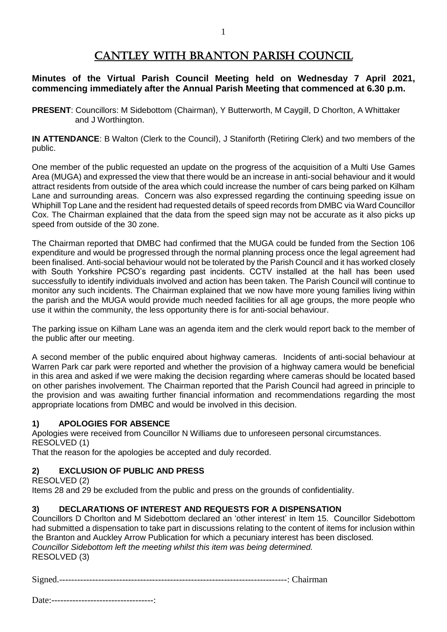# CANTLEY WITH BRANTON PARISH COUNCIL

### **Minutes of the Virtual Parish Council Meeting held on Wednesday 7 April 2021, commencing immediately after the Annual Parish Meeting that commenced at 6.30 p.m.**

**PRESENT**: Councillors: M Sidebottom (Chairman), Y Butterworth, M Caygill, D Chorlton, A Whittaker and J Worthington.

**IN ATTENDANCE**: B Walton (Clerk to the Council), J Staniforth (Retiring Clerk) and two members of the public.

One member of the public requested an update on the progress of the acquisition of a Multi Use Games Area (MUGA) and expressed the view that there would be an increase in anti-social behaviour and it would attract residents from outside of the area which could increase the number of cars being parked on Kilham Lane and surrounding areas. Concern was also expressed regarding the continuing speeding issue on Whiphill Top Lane and the resident had requested details of speed records from DMBC via Ward Councillor Cox. The Chairman explained that the data from the speed sign may not be accurate as it also picks up speed from outside of the 30 zone.

The Chairman reported that DMBC had confirmed that the MUGA could be funded from the Section 106 expenditure and would be progressed through the normal planning process once the legal agreement had been finalised. Anti-social behaviour would not be tolerated by the Parish Council and it has worked closely with South Yorkshire PCSO's regarding past incidents. CCTV installed at the hall has been used successfully to identify individuals involved and action has been taken. The Parish Council will continue to monitor any such incidents. The Chairman explained that we now have more young families living within the parish and the MUGA would provide much needed facilities for all age groups, the more people who use it within the community, the less opportunity there is for anti-social behaviour.

The parking issue on Kilham Lane was an agenda item and the clerk would report back to the member of the public after our meeting.

A second member of the public enquired about highway cameras. Incidents of anti-social behaviour at Warren Park car park were reported and whether the provision of a highway camera would be beneficial in this area and asked if we were making the decision regarding where cameras should be located based on other parishes involvement. The Chairman reported that the Parish Council had agreed in principle to the provision and was awaiting further financial information and recommendations regarding the most appropriate locations from DMBC and would be involved in this decision.

#### **1) APOLOGIES FOR ABSENCE**

Apologies were received from Councillor N Williams due to unforeseen personal circumstances. RESOLVED (1)

That the reason for the apologies be accepted and duly recorded.

#### **2) EXCLUSION OF PUBLIC AND PRESS**

RESOLVED (2)

Items 28 and 29 be excluded from the public and press on the grounds of confidentiality.

#### **3) DECLARATIONS OF INTEREST AND REQUESTS FOR A DISPENSATION**

Councillors D Chorlton and M Sidebottom declared an 'other interest' in Item 15. Councillor Sidebottom had submitted a dispensation to take part in discussions relating to the content of items for inclusion within the Branton and Auckley Arrow Publication for which a pecuniary interest has been disclosed. *Councillor Sidebottom left the meeting whilst this item was being determined.* RESOLVED (3)

| $\tilde{\phantom{a}}$<br>ш |  |
|----------------------------|--|
|----------------------------|--|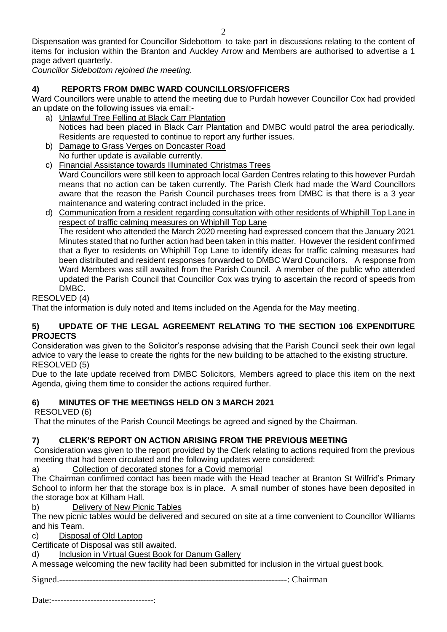Dispensation was granted for Councillor Sidebottom to take part in discussions relating to the content of items for inclusion within the Branton and Auckley Arrow and Members are authorised to advertise a 1 page advert quarterly.

*Councillor Sidebottom rejoined the meeting.*

# **4) REPORTS FROM DMBC WARD COUNCILLORS/OFFICERS**

Ward Councillors were unable to attend the meeting due to Purdah however Councillor Cox had provided an update on the following issues via email:-

- a) Unlawful Tree Felling at Black Carr Plantation Notices had been placed in Black Carr Plantation and DMBC would patrol the area periodically. Residents are requested to continue to report any further issues.
- b) Damage to Grass Verges on Doncaster Road No further update is available currently.
- c) Financial Assistance towards Illuminated Christmas Trees Ward Councillors were still keen to approach local Garden Centres relating to this however Purdah means that no action can be taken currently. The Parish Clerk had made the Ward Councillors aware that the reason the Parish Council purchases trees from DMBC is that there is a 3 year maintenance and watering contract included in the price.
- d) Communication from a resident regarding consultation with other residents of Whiphill Top Lane in respect of traffic calming measures on Whiphill Top Lane The resident who attended the March 2020 meeting had expressed concern that the January 2021 Minutes stated that no further action had been taken in this matter. However the resident confirmed that a flyer to residents on Whiphill Top Lane to identify ideas for traffic calming measures had been distributed and resident responses forwarded to DMBC Ward Councillors. A response from Ward Members was still awaited from the Parish Council. A member of the public who attended updated the Parish Council that Councillor Cox was trying to ascertain the record of speeds from DMBC.

# RESOLVED (4)

That the information is duly noted and Items included on the Agenda for the May meeting.

#### **5) UPDATE OF THE LEGAL AGREEMENT RELATING TO THE SECTION 106 EXPENDITURE PROJECTS**

Consideration was given to the Solicitor's response advising that the Parish Council seek their own legal advice to vary the lease to create the rights for the new building to be attached to the existing structure. RESOLVED (5)

Due to the late update received from DMBC Solicitors, Members agreed to place this item on the next Agenda, giving them time to consider the actions required further.

# **6) MINUTES OF THE MEETINGS HELD ON 3 MARCH 2021**

RESOLVED (6)

That the minutes of the Parish Council Meetings be agreed and signed by the Chairman.

# **7) CLERK'S REPORT ON ACTION ARISING FROM THE PREVIOUS MEETING**

Consideration was given to the report provided by the Clerk relating to actions required from the previous meeting that had been circulated and the following updates were considered:

a) Collection of decorated stones for a Covid memorial

The Chairman confirmed contact has been made with the Head teacher at Branton St Wilfrid's Primary School to inform her that the storage box is in place. A small number of stones have been deposited in the storage box at Kilham Hall.

b) Delivery of New Picnic Tables

The new picnic tables would be delivered and secured on site at a time convenient to Councillor Williams and his Team.

c) Disposal of Old Laptop

Certificate of Disposal was still awaited.

d) Inclusion in Virtual Guest Book for Danum Gallery

A message welcoming the new facility had been submitted for inclusion in the virtual guest book.

Signed.----------------------------------------------------------------------------: Chairman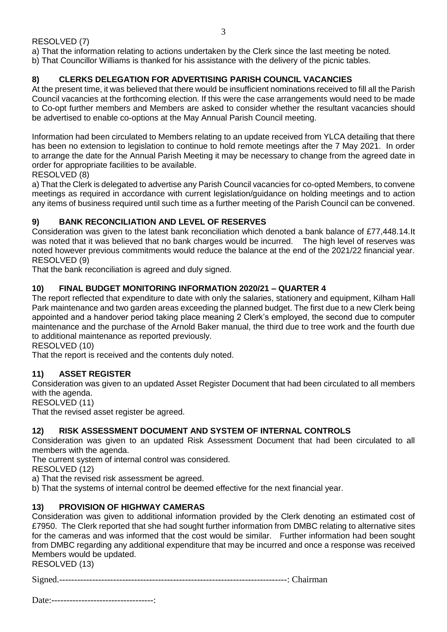### RESOLVED (7)

a) That the information relating to actions undertaken by the Clerk since the last meeting be noted.

b) That Councillor Williams is thanked for his assistance with the delivery of the picnic tables.

# **8) CLERKS DELEGATION FOR ADVERTISING PARISH COUNCIL VACANCIES**

At the present time, it was believed that there would be insufficient nominations received to fill all the Parish Council vacancies at the forthcoming election. If this were the case arrangements would need to be made to Co-opt further members and Members are asked to consider whether the resultant vacancies should be advertised to enable co-options at the May Annual Parish Council meeting.

Information had been circulated to Members relating to an update received from YLCA detailing that there has been no extension to legislation to continue to hold remote meetings after the 7 May 2021. In order to arrange the date for the Annual Parish Meeting it may be necessary to change from the agreed date in order for appropriate facilities to be available.

RESOLVED (8)

a) That the Clerk is delegated to advertise any Parish Council vacancies for co-opted Members, to convene meetings as required in accordance with current legislation/guidance on holding meetings and to action any items of business required until such time as a further meeting of the Parish Council can be convened.

## **9) BANK RECONCILIATION AND LEVEL OF RESERVES**

Consideration was given to the latest bank reconciliation which denoted a bank balance of £77,448.14.It was noted that it was believed that no bank charges would be incurred. The high level of reserves was noted however previous commitments would reduce the balance at the end of the 2021/22 financial year. RESOLVED (9)

That the bank reconciliation is agreed and duly signed.

## **10) FINAL BUDGET MONITORING INFORMATION 2020/21 – QUARTER 4**

The report reflected that expenditure to date with only the salaries, stationery and equipment, Kilham Hall Park maintenance and two garden areas exceeding the planned budget. The first due to a new Clerk being appointed and a handover period taking place meaning 2 Clerk's employed, the second due to computer maintenance and the purchase of the Arnold Baker manual, the third due to tree work and the fourth due to additional maintenance as reported previously.

RESOLVED (10)

That the report is received and the contents duly noted.

#### **11) ASSET REGISTER**

Consideration was given to an updated Asset Register Document that had been circulated to all members with the agenda.

RESOLVED (11)

That the revised asset register be agreed.

#### **12) RISK ASSESSMENT DOCUMENT AND SYSTEM OF INTERNAL CONTROLS**

Consideration was given to an updated Risk Assessment Document that had been circulated to all members with the agenda.

The current system of internal control was considered.

RESOLVED (12)

a) That the revised risk assessment be agreed.

b) That the systems of internal control be deemed effective for the next financial year.

#### **13) PROVISION OF HIGHWAY CAMERAS**

Consideration was given to additional information provided by the Clerk denoting an estimated cost of £7950. The Clerk reported that she had sought further information from DMBC relating to alternative sites for the cameras and was informed that the cost would be similar. Further information had been sought from DMBC regarding any additional expenditure that may be incurred and once a response was received Members would be updated.

RESOLVED (13)

| . | . |
|---|---|
|---|---|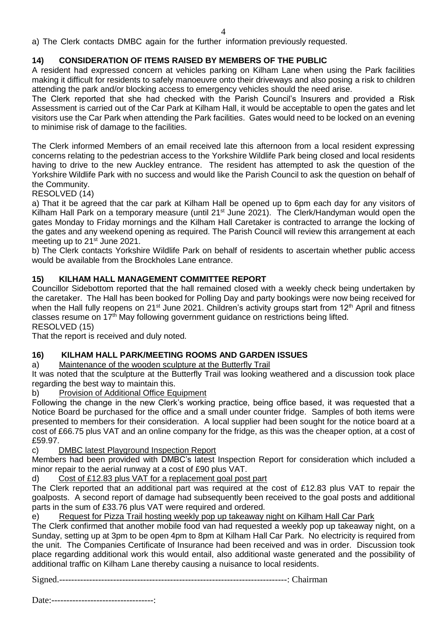a) The Clerk contacts DMBC again for the further information previously requested.

### **14) CONSIDERATION OF ITEMS RAISED BY MEMBERS OF THE PUBLIC**

A resident had expressed concern at vehicles parking on Kilham Lane when using the Park facilities making it difficult for residents to safely manoeuvre onto their driveways and also posing a risk to children attending the park and/or blocking access to emergency vehicles should the need arise.

The Clerk reported that she had checked with the Parish Council's Insurers and provided a Risk Assessment is carried out of the Car Park at Kilham Hall, it would be acceptable to open the gates and let visitors use the Car Park when attending the Park facilities. Gates would need to be locked on an evening to minimise risk of damage to the facilities.

The Clerk informed Members of an email received late this afternoon from a local resident expressing concerns relating to the pedestrian access to the Yorkshire Wildlife Park being closed and local residents having to drive to the new Auckley entrance. The resident has attempted to ask the question of the Yorkshire Wildlife Park with no success and would like the Parish Council to ask the question on behalf of the Community.

RESOLVED (14)

a) That it be agreed that the car park at Kilham Hall be opened up to 6pm each day for any visitors of Kilham Hall Park on a temporary measure (until 21<sup>st</sup> June 2021). The Clerk/Handyman would open the gates Monday to Friday mornings and the Kilham Hall Caretaker is contracted to arrange the locking of the gates and any weekend opening as required. The Parish Council will review this arrangement at each meeting up to 21<sup>st</sup> June 2021.

b) The Clerk contacts Yorkshire Wildlife Park on behalf of residents to ascertain whether public access would be available from the Brockholes Lane entrance.

#### **15) KILHAM HALL MANAGEMENT COMMITTEE REPORT**

Councillor Sidebottom reported that the hall remained closed with a weekly check being undertaken by the caretaker. The Hall has been booked for Polling Day and party bookings were now being received for when the Hall fully reopens on 21<sup>st</sup> June 2021. Children's activity groups start from 12<sup>th</sup> April and fitness classes resume on 17<sup>th</sup> May following government guidance on restrictions being lifted. RESOLVED (15)

That the report is received and duly noted.

#### **16) KILHAM HALL PARK/MEETING ROOMS AND GARDEN ISSUES**

#### a) Maintenance of the wooden sculpture at the Butterfly Trail

It was noted that the sculpture at the Butterfly Trail was looking weathered and a discussion took place regarding the best way to maintain this.

b) Provision of Additional Office Equipment

Following the change in the new Clerk's working practice, being office based, it was requested that a Notice Board be purchased for the office and a small under counter fridge. Samples of both items were presented to members for their consideration. A local supplier had been sought for the notice board at a cost of £66.75 plus VAT and an online company for the fridge, as this was the cheaper option, at a cost of £59.97.

#### c) DMBC latest Playground Inspection Report

Members had been provided with DMBC's latest Inspection Report for consideration which included a minor repair to the aerial runway at a cost of £90 plus VAT.

d) Cost of £12.83 plus VAT for a replacement goal post part

The Clerk reported that an additional part was required at the cost of £12.83 plus VAT to repair the goalposts. A second report of damage had subsequently been received to the goal posts and additional parts in the sum of £33.76 plus VAT were required and ordered.

e) Request for Pizza Trail hosting weekly pop up takeaway night on Kilham Hall Car Park

The Clerk confirmed that another mobile food van had requested a weekly pop up takeaway night, on a Sunday, setting up at 3pm to be open 4pm to 8pm at Kilham Hall Car Park. No electricity is required from the unit. The Companies Certificate of Insurance had been received and was in order. Discussion took place regarding additional work this would entail, also additional waste generated and the possibility of additional traffic on Kilham Lane thereby causing a nuisance to local residents.

Signed.----------------------------------------------------------------------------: Chairman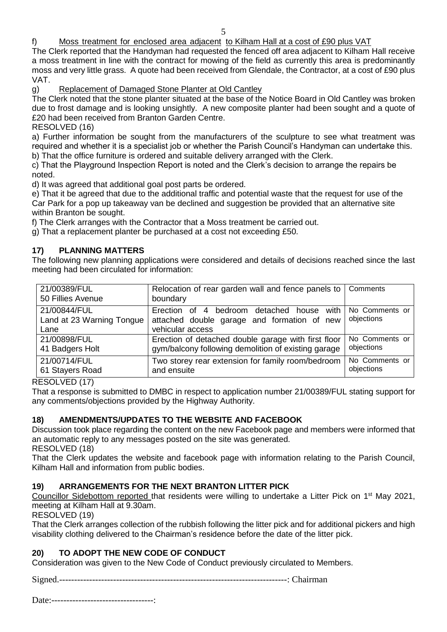5

f) Moss treatment for enclosed area adjacent to Kilham Hall at a cost of £90 plus VAT

The Clerk reported that the Handyman had requested the fenced off area adjacent to Kilham Hall receive a moss treatment in line with the contract for mowing of the field as currently this area is predominantly moss and very little grass. A quote had been received from Glendale, the Contractor, at a cost of £90 plus VAT.

g) Replacement of Damaged Stone Planter at Old Cantley

The Clerk noted that the stone planter situated at the base of the Notice Board in Old Cantley was broken due to frost damage and is looking unsightly. A new composite planter had been sought and a quote of £20 had been received from Branton Garden Centre.

RESOLVED (16)

a) Further information be sought from the manufacturers of the sculpture to see what treatment was required and whether it is a specialist job or whether the Parish Council's Handyman can undertake this. b) That the office furniture is ordered and suitable delivery arranged with the Clerk.

c) That the Playground Inspection Report is noted and the Clerk's decision to arrange the repairs be noted.

d) It was agreed that additional goal post parts be ordered.

e) That it be agreed that due to the additional traffic and potential waste that the request for use of the Car Park for a pop up takeaway van be declined and suggestion be provided that an alternative site within Branton be sought.

f) The Clerk arranges with the Contractor that a Moss treatment be carried out.

g) That a replacement planter be purchased at a cost not exceeding £50.

#### **17) PLANNING MATTERS**

The following new planning applications were considered and details of decisions reached since the last meeting had been circulated for information:

| 21/00389/FUL<br>50 Fillies Avenue                 | Relocation of rear garden wall and fence panels to<br>boundary                                               | Comments                     |
|---------------------------------------------------|--------------------------------------------------------------------------------------------------------------|------------------------------|
| 21/00844/FUL<br>Land at 23 Warning Tongue<br>Lane | Erection of 4 bedroom detached house with<br>attached double garage and formation of new<br>vehicular access | No Comments or<br>objections |
| 21/00898/FUL                                      | Erection of detached double garage with first floor                                                          | No Comments or               |
| 41 Badgers Holt                                   | gym/balcony following demolition of existing garage                                                          | objections                   |
| 21/00714/FUL                                      | Two storey rear extension for family room/bedroom                                                            | No Comments or               |
| 61 Stayers Road                                   | and ensuite                                                                                                  | objections                   |

RESOLVED (17)

That a response is submitted to DMBC in respect to application number 21/00389/FUL stating support for any comments/objections provided by the Highway Authority.

#### **18) AMENDMENTS/UPDATES TO THE WEBSITE AND FACEBOOK**

Discussion took place regarding the content on the new Facebook page and members were informed that an automatic reply to any messages posted on the site was generated.

RESOLVED (18)

That the Clerk updates the website and facebook page with information relating to the Parish Council, Kilham Hall and information from public bodies.

#### **19) ARRANGEMENTS FOR THE NEXT BRANTON LITTER PICK**

Councillor Sidebottom reported that residents were willing to undertake a Litter Pick on 1<sup>st</sup> May 2021, meeting at Kilham Hall at 9.30am.

RESOLVED (19)

That the Clerk arranges collection of the rubbish following the litter pick and for additional pickers and high visability clothing delivered to the Chairman's residence before the date of the litter pick.

#### **20) TO ADOPT THE NEW CODE OF CONDUCT**

Consideration was given to the New Code of Conduct previously circulated to Members.

Signed.----------------------------------------------------------------------------: Chairman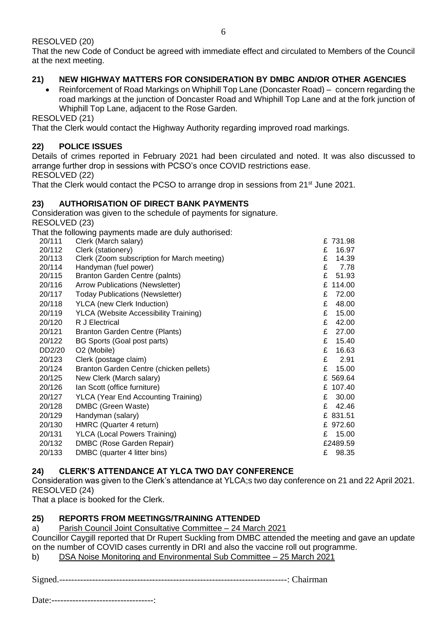RESOLVED (20)

That the new Code of Conduct be agreed with immediate effect and circulated to Members of the Council at the next meeting.

#### **21) NEW HIGHWAY MATTERS FOR CONSIDERATION BY DMBC AND/OR OTHER AGENCIES**

 Reinforcement of Road Markings on Whiphill Top Lane (Doncaster Road) – concern regarding the road markings at the junction of Doncaster Road and Whiphill Top Lane and at the fork junction of Whiphill Top Lane, adjacent to the Rose Garden.

RESOLVED (21)

That the Clerk would contact the Highway Authority regarding improved road markings.

### **22) POLICE ISSUES**

Details of crimes reported in February 2021 had been circulated and noted. It was also discussed to arrange further drop in sessions with PCSO's once COVID restrictions ease. RESOLVED (22)

That the Clerk would contact the PCSO to arrange drop in sessions from 21<sup>st</sup> June 2021.

#### **23) AUTHORISATION OF DIRECT BANK PAYMENTS**

Consideration was given to the schedule of payments for signature. RESOLVED (23)

That the following payments made are duly authorised:

| 20/111 | Clerk (March salary)                         |   | £731.98  |
|--------|----------------------------------------------|---|----------|
| 20/112 | Clerk (stationery)                           | £ | 16.97    |
| 20/113 | Clerk (Zoom subscription for March meeting)  | £ | 14.39    |
| 20/114 | Handyman (fuel power)                        | £ | 7.78     |
| 20/115 | Branton Garden Centre (paints)               | £ | 51.93    |
| 20/116 | <b>Arrow Publications (Newsletter)</b>       | £ | 114.00   |
| 20/117 | <b>Today Publications (Newsletter)</b>       | £ | 72.00    |
| 20/118 | <b>YLCA</b> (new Clerk Induction)            | £ | 48.00    |
| 20/119 | <b>YLCA (Website Accessibility Training)</b> | £ | 15.00    |
| 20/120 | R J Electrical                               | £ | 42.00    |
| 20/121 | Branton Garden Centre (Plants)               | £ | 27.00    |
| 20/122 | BG Sports (Goal post parts)                  | £ | 15.40    |
| DD2/20 | O <sub>2</sub> (Mobile)                      | £ | 16.63    |
| 20/123 | Clerk (postage claim)                        | £ | 2.91     |
| 20/124 | Branton Garden Centre (chicken pellets)      | £ | 15.00    |
| 20/125 | New Clerk (March salary)                     |   | £ 569.64 |
| 20/126 | Ian Scott (office furniture)                 |   | £ 107.40 |
| 20/127 | <b>YLCA (Year End Accounting Training)</b>   | £ | 30.00    |
| 20/128 | DMBC (Green Waste)                           | £ | 42.46    |
| 20/129 | Handyman (salary)                            |   | £ 831.51 |
| 20/130 | HMRC (Quarter 4 return)                      |   | £ 972.60 |
| 20/131 | <b>YLCA (Local Powers Training)</b>          | £ | 15.00    |
| 20/132 | DMBC (Rose Garden Repair)                    |   | £2489.59 |
| 20/133 | DMBC (quarter 4 litter bins)                 | £ | 98.35    |
|        |                                              |   |          |

#### **24) CLERK'S ATTENDANCE AT YLCA TWO DAY CONFERENCE**

Consideration was given to the Clerk's attendance at YLCA;s two day conference on 21 and 22 April 2021. RESOLVED (24)

That a place is booked for the Clerk.

#### **25) REPORTS FROM MEETINGS/TRAINING ATTENDED**

a) Parish Council Joint Consultative Committee – 24 March 2021

Councillor Caygill reported that Dr Rupert Suckling from DMBC attended the meeting and gave an update on the number of COVID cases currently in DRI and also the vaccine roll out programme.

b) DSA Noise Monitoring and Environmental Sub Committee - 25 March 2021

Signed.----------------------------------------------------------------------------: Chairman